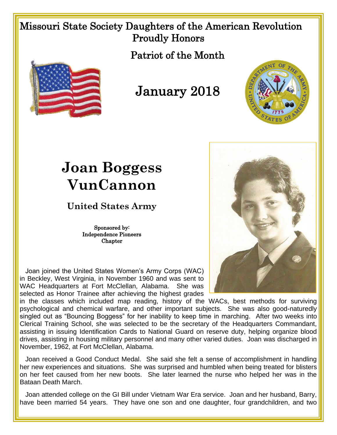## Missouri State Society Daughters of the American Revolution Proudly Honors

Patriot of the Month



## January 2018



## **Joan Boggess VunCannon**

**United States Army**

Sponsored by: Independence Pioneers **Chapter** 

 Joan joined the United States Women's Army Corps (WAC) in Beckley, West Virginia, in November 1960 and was sent to WAC Headquarters at Fort McClellan, Alabama. She was selected as Honor Trainee after achieving the highest grades

in the classes which included map reading, history of the WACs, best methods for surviving psychological and chemical warfare, and other important subjects. She was also good-naturedly singled out as "Bouncing Boggess" for her inability to keep time in marching. After two weeks into Clerical Training School, she was selected to be the secretary of the Headquarters Commandant, assisting in issuing Identification Cards to National Guard on reserve duty, helping organize blood drives, assisting in housing military personnel and many other varied duties. Joan was discharged in November, 1962, at Fort McClellan, Alabama.

 Joan received a Good Conduct Medal. She said she felt a sense of accomplishment in handling her new experiences and situations. She was surprised and humbled when being treated for blisters on her feet caused from her new boots. She later learned the nurse who helped her was in the Bataan Death March.

 Joan attended college on the GI Bill under Vietnam War Era service. Joan and her husband, Barry, have been married 54 years. They have one son and one daughter, four grandchildren, and two